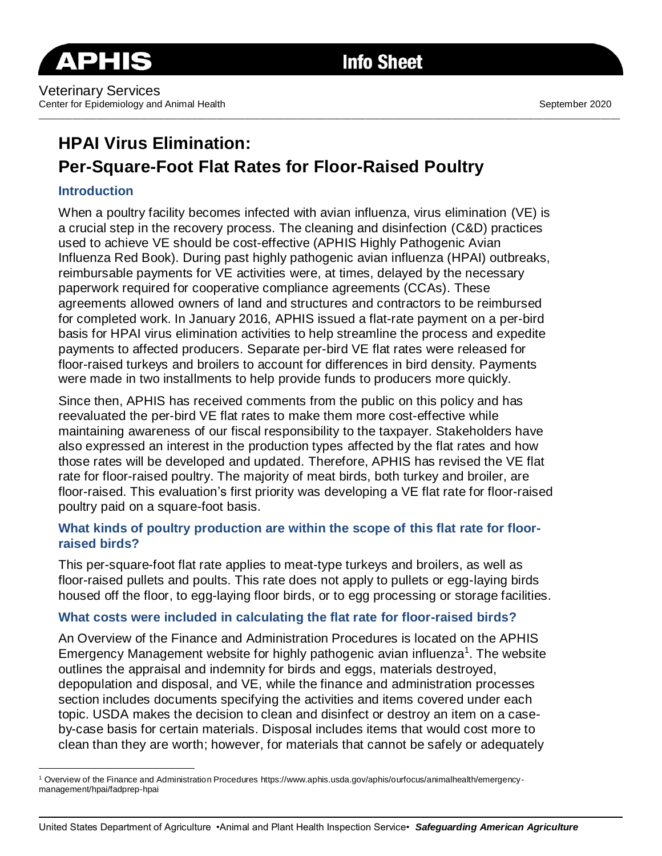

# **HPAI Virus Elimination: Per-Square-Foot Flat Rates for Floor-Raised Poultry**

# **Introduction**

When a poultry facility becomes infected with avian influenza, virus elimination (VE) is a crucial step in the recovery process. The cleaning and disinfection (C&D) practices used to achieve VE should be cost-effective (APHIS Highly Pathogenic Avian Influenza Red Book). During past highly pathogenic avian influenza (HPAI) outbreaks, reimbursable payments for VE activities were, at times, delayed by the necessary paperwork required for cooperative compliance agreements (CCAs). These agreements allowed owners of land and structures and contractors to be reimbursed for completed work. In January 2016, APHIS issued a flat-rate payment on a per-bird basis for HPAI virus elimination activities to help streamline the process and expedite payments to affected producers. Separate per-bird VE flat rates were released for floor-raised turkeys and broilers to account for differences in bird density. Payments were made in two installments to help provide funds to producers more quickly.

\_\_\_\_\_\_\_\_\_\_\_\_\_\_\_\_\_\_\_\_\_\_\_\_\_\_\_\_\_\_\_\_\_\_\_\_\_\_\_\_\_\_\_\_\_\_\_\_\_\_\_\_\_\_\_\_\_\_\_\_\_\_\_\_\_\_\_\_\_\_\_\_\_\_\_\_\_\_\_\_\_\_\_\_\_\_\_\_\_\_\_\_\_\_\_\_\_\_\_\_\_\_\_\_\_\_\_\_\_\_\_\_\_\_\_\_\_\_\_\_\_

Since then, APHIS has received comments from the public on this policy and has reevaluated the per-bird VE flat rates to make them more cost-effective while maintaining awareness of our fiscal responsibility to the taxpayer. Stakeholders have also expressed an interest in the production types affected by the flat rates and how those rates will be developed and updated. Therefore, APHIS has revised the VE flat rate for floor-raised poultry. The majority of meat birds, both turkey and broiler, are floor-raised. This evaluation's first priority was developing a VE flat rate for floor-raised poultry paid on a square-foot basis.

# **What kinds of poultry production are within the scope of this flat rate for floorraised birds?**

This per-square-foot flat rate applies to meat-type turkeys and broilers, as well as floor-raised pullets and poults. This rate does not apply to pullets or egg-laying birds housed off the floor, to egg-laying floor birds, or to egg processing or storage facilities.

# **What costs were included in calculating the flat rate for floor-raised birds?**

An Overview of the Finance and Administration Procedures is located on the APHIS Emergency Management website for highly pathogenic avian influenza<sup>1</sup>. The website outlines the appraisal and indemnity for birds and eggs, materials destroyed, depopulation and disposal, and VE, while the finance and administration processes section includes documents specifying the activities and items covered under each topic. USDA makes the decision to clean and disinfect or destroy an item on a caseby-case basis for certain materials. Disposal includes items that would cost more to clean than they are worth; however, for materials that cannot be safely or adequately

<sup>1</sup> Overview of the Finance and Administration Procedures https://www.aphis.usda.gov/aphis/ourfocus/animalhealth/emergencymanagement/hpai/fadprep-hpai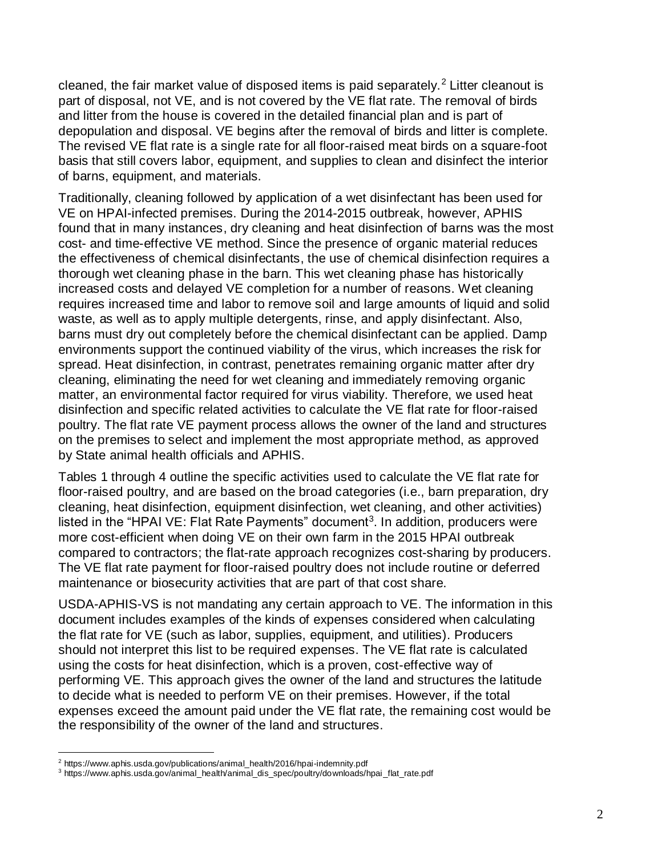cleaned, the fair market value of disposed items is paid separately.<sup>2</sup> Litter cleanout is part of disposal, not VE, and is not covered by the VE flat rate. The removal of birds and litter from the house is covered in the detailed financial plan and is part of depopulation and disposal. VE begins after the removal of birds and litter is complete. The revised VE flat rate is a single rate for all floor-raised meat birds on a square-foot basis that still covers labor, equipment, and supplies to clean and disinfect the interior of barns, equipment, and materials.

Traditionally, cleaning followed by application of a wet disinfectant has been used for VE on HPAI-infected premises. During the 2014-2015 outbreak, however, APHIS found that in many instances, dry cleaning and heat disinfection of barns was the most cost- and time-effective VE method. Since the presence of organic material reduces the effectiveness of chemical disinfectants, the use of chemical disinfection requires a thorough wet cleaning phase in the barn. This wet cleaning phase has historically increased costs and delayed VE completion for a number of reasons. Wet cleaning requires increased time and labor to remove soil and large amounts of liquid and solid waste, as well as to apply multiple detergents, rinse, and apply disinfectant. Also, barns must dry out completely before the chemical disinfectant can be applied. Damp environments support the continued viability of the virus, which increases the risk for spread. Heat disinfection, in contrast, penetrates remaining organic matter after dry cleaning, eliminating the need for wet cleaning and immediately removing organic matter, an environmental factor required for virus viability. Therefore, we used heat disinfection and specific related activities to calculate the VE flat rate for floor-raised poultry. The flat rate VE payment process allows the owner of the land and structures on the premises to select and implement the most appropriate method, as approved by State animal health officials and APHIS.

Tables 1 through 4 outline the specific activities used to calculate the VE flat rate for floor-raised poultry, and are based on the broad categories (i.e., barn preparation, dry cleaning, heat disinfection, equipment disinfection, wet cleaning, and other activities) listed in the "HPAI VE: Flat Rate Payments" document<sup>3</sup>. In addition, producers were more cost-efficient when doing VE on their own farm in the 2015 HPAI outbreak compared to contractors; the flat-rate approach recognizes cost-sharing by producers. The VE flat rate payment for floor-raised poultry does not include routine or deferred maintenance or biosecurity activities that are part of that cost share.

USDA-APHIS-VS is not mandating any certain approach to VE. The information in this document includes examples of the kinds of expenses considered when calculating the flat rate for VE (such as labor, supplies, equipment, and utilities). Producers should not interpret this list to be required expenses. The VE flat rate is calculated using the costs for heat disinfection, which is a proven, cost-effective way of performing VE. This approach gives the owner of the land and structures the latitude to decide what is needed to perform VE on their premises. However, if the total expenses exceed the amount paid under the VE flat rate, the remaining cost would be the responsibility of the owner of the land and structures.

 $\overline{a}$ 

<sup>2</sup> https://www.aphis.usda.gov/publications/animal\_health/2016/hpai-indemnity.pdf

<sup>3</sup> https://www.aphis.usda.gov/animal\_health/animal\_dis\_spec/poultry/downloads/hpai\_flat\_rate.pdf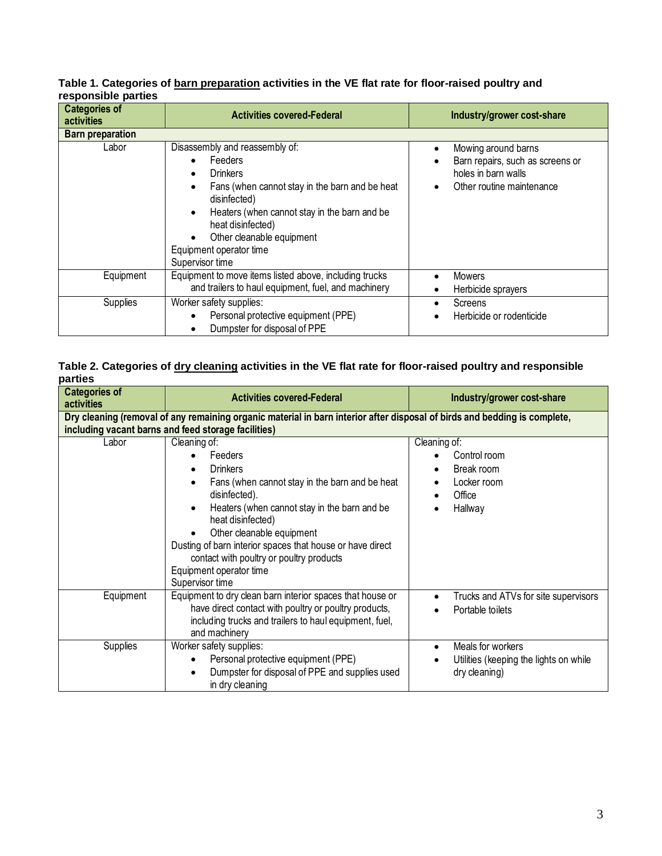|                     | Table 1. Categories of barn preparation activities in the VE flat rate for floor-raised poultry and |  |  |
|---------------------|-----------------------------------------------------------------------------------------------------|--|--|
| responsible parties |                                                                                                     |  |  |

| <b>Categories of</b><br>activities | <b>Activities covered-Federal</b>                                                                                                                                                                                                                                                   | Industry/grower cost-share                                                                                               |  |
|------------------------------------|-------------------------------------------------------------------------------------------------------------------------------------------------------------------------------------------------------------------------------------------------------------------------------------|--------------------------------------------------------------------------------------------------------------------------|--|
| <b>Barn preparation</b>            |                                                                                                                                                                                                                                                                                     |                                                                                                                          |  |
| Labor                              | Disassembly and reassembly of:<br>Feeders<br><b>Drinkers</b><br>Fans (when cannot stay in the barn and be heat<br>disinfected)<br>Heaters (when cannot stay in the barn and be<br>٠<br>heat disinfected)<br>Other cleanable equipment<br>Equipment operator time<br>Supervisor time | Mowing around barns<br>$\bullet$<br>Barn repairs, such as screens or<br>holes in barn walls<br>Other routine maintenance |  |
| Equipment                          | Equipment to move items listed above, including trucks<br>and trailers to haul equipment, fuel, and machinery                                                                                                                                                                       | Mowers<br>Herbicide sprayers<br>$\bullet$                                                                                |  |
| Supplies                           | Worker safety supplies:<br>Personal protective equipment (PPE)<br>Dumpster for disposal of PPE                                                                                                                                                                                      | Screens<br>Herbicide or rodenticide                                                                                      |  |

#### **Table 2. Categories of dry cleaning activities in the VE flat rate for floor-raised poultry and responsible parties**

| <b>Categories of</b><br>activities                                                                                                                                               | <b>Activities covered-Federal</b>                                                                                                                                                                                                                                                                                                                                                                     | Industry/grower cost-share                                                                  |  |  |
|----------------------------------------------------------------------------------------------------------------------------------------------------------------------------------|-------------------------------------------------------------------------------------------------------------------------------------------------------------------------------------------------------------------------------------------------------------------------------------------------------------------------------------------------------------------------------------------------------|---------------------------------------------------------------------------------------------|--|--|
| Dry cleaning (removal of any remaining organic material in barn interior after disposal of birds and bedding is complete,<br>including vacant barns and feed storage facilities) |                                                                                                                                                                                                                                                                                                                                                                                                       |                                                                                             |  |  |
| Labor                                                                                                                                                                            | Cleaning of:<br>Feeders<br><b>Drinkers</b><br>٠<br>Fans (when cannot stay in the barn and be heat<br>$\bullet$<br>disinfected).<br>Heaters (when cannot stay in the barn and be<br>$\bullet$<br>heat disinfected)<br>Other cleanable equipment<br>Dusting of barn interior spaces that house or have direct<br>contact with poultry or poultry products<br>Equipment operator time<br>Supervisor time | Cleaning of:<br>Control room<br>Break room<br>$\bullet$<br>Locker room<br>Office<br>Hallway |  |  |
| Equipment                                                                                                                                                                        | Equipment to dry clean barn interior spaces that house or<br>have direct contact with poultry or poultry products,<br>including trucks and trailers to haul equipment, fuel,<br>and machinery                                                                                                                                                                                                         | Trucks and ATVs for site supervisors<br>$\bullet$<br>Portable toilets                       |  |  |
| Supplies                                                                                                                                                                         | Worker safety supplies:<br>Personal protective equipment (PPE)<br>$\bullet$<br>Dumpster for disposal of PPE and supplies used<br>$\bullet$<br>in dry cleaning                                                                                                                                                                                                                                         | Meals for workers<br>$\bullet$<br>Utilities (keeping the lights on while<br>dry cleaning)   |  |  |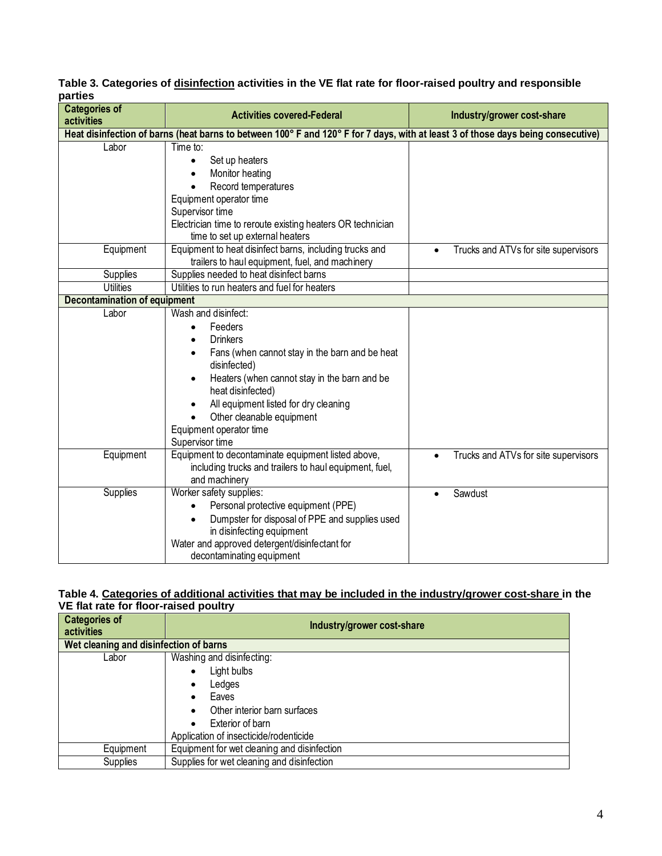## **Table 3. Categories of disinfection activities in the VE flat rate for floor-raised poultry and responsible parties**

| <b>Categories of</b><br>activities                                                                                               | <b>Activities covered-Federal</b>                                                        | Industry/grower cost-share                        |  |  |  |
|----------------------------------------------------------------------------------------------------------------------------------|------------------------------------------------------------------------------------------|---------------------------------------------------|--|--|--|
| Heat disinfection of barns (heat barns to between 100° F and 120° F for 7 days, with at least 3 of those days being consecutive) |                                                                                          |                                                   |  |  |  |
| Labor                                                                                                                            | Time to:                                                                                 |                                                   |  |  |  |
|                                                                                                                                  | Set up heaters<br>$\bullet$                                                              |                                                   |  |  |  |
|                                                                                                                                  | Monitor heating<br>$\bullet$                                                             |                                                   |  |  |  |
|                                                                                                                                  | Record temperatures                                                                      |                                                   |  |  |  |
|                                                                                                                                  | Equipment operator time                                                                  |                                                   |  |  |  |
|                                                                                                                                  | Supervisor time                                                                          |                                                   |  |  |  |
|                                                                                                                                  | Electrician time to reroute existing heaters OR technician                               |                                                   |  |  |  |
|                                                                                                                                  | time to set up external heaters                                                          |                                                   |  |  |  |
| Equipment                                                                                                                        | Equipment to heat disinfect barns, including trucks and                                  | Trucks and ATVs for site supervisors<br>$\bullet$ |  |  |  |
|                                                                                                                                  | trailers to haul equipment, fuel, and machinery                                          |                                                   |  |  |  |
| Supplies<br><b>Utilities</b>                                                                                                     | Supplies needed to heat disinfect barns<br>Utilities to run heaters and fuel for heaters |                                                   |  |  |  |
| <b>Decontamination of equipment</b>                                                                                              |                                                                                          |                                                   |  |  |  |
| Labor                                                                                                                            | Wash and disinfect:                                                                      |                                                   |  |  |  |
|                                                                                                                                  | Feeders<br>$\bullet$                                                                     |                                                   |  |  |  |
|                                                                                                                                  | <b>Drinkers</b>                                                                          |                                                   |  |  |  |
|                                                                                                                                  | Fans (when cannot stay in the barn and be heat                                           |                                                   |  |  |  |
|                                                                                                                                  | disinfected)                                                                             |                                                   |  |  |  |
|                                                                                                                                  | Heaters (when cannot stay in the barn and be                                             |                                                   |  |  |  |
|                                                                                                                                  | heat disinfected)                                                                        |                                                   |  |  |  |
|                                                                                                                                  | All equipment listed for dry cleaning                                                    |                                                   |  |  |  |
|                                                                                                                                  | Other cleanable equipment                                                                |                                                   |  |  |  |
|                                                                                                                                  | Equipment operator time                                                                  |                                                   |  |  |  |
|                                                                                                                                  | Supervisor time                                                                          |                                                   |  |  |  |
| Equipment                                                                                                                        | Equipment to decontaminate equipment listed above,                                       | Trucks and ATVs for site supervisors<br>$\bullet$ |  |  |  |
|                                                                                                                                  | including trucks and trailers to haul equipment, fuel,                                   |                                                   |  |  |  |
|                                                                                                                                  | and machinery                                                                            |                                                   |  |  |  |
| <b>Supplies</b>                                                                                                                  | Worker safety supplies:                                                                  | Sawdust                                           |  |  |  |
|                                                                                                                                  | Personal protective equipment (PPE)                                                      |                                                   |  |  |  |
|                                                                                                                                  | Dumpster for disposal of PPE and supplies used                                           |                                                   |  |  |  |
|                                                                                                                                  | in disinfecting equipment                                                                |                                                   |  |  |  |
|                                                                                                                                  | Water and approved detergent/disinfectant for                                            |                                                   |  |  |  |
|                                                                                                                                  | decontaminating equipment                                                                |                                                   |  |  |  |

#### **Table 4. Categories of additional activities that may be included in the industry/grower cost-share in the VE flat rate for floor-raised poultry**

| Industry/grower cost-share                  |  |  |  |  |
|---------------------------------------------|--|--|--|--|
|                                             |  |  |  |  |
| Wet cleaning and disinfection of barns      |  |  |  |  |
| Washing and disinfecting:                   |  |  |  |  |
| Light bulbs<br>٠                            |  |  |  |  |
| Ledges<br>٠                                 |  |  |  |  |
| Eaves<br>$\bullet$                          |  |  |  |  |
| Other interior barn surfaces<br>$\bullet$   |  |  |  |  |
| Exterior of barn                            |  |  |  |  |
| Application of insecticide/rodenticide      |  |  |  |  |
| Equipment for wet cleaning and disinfection |  |  |  |  |
| Supplies for wet cleaning and disinfection  |  |  |  |  |
|                                             |  |  |  |  |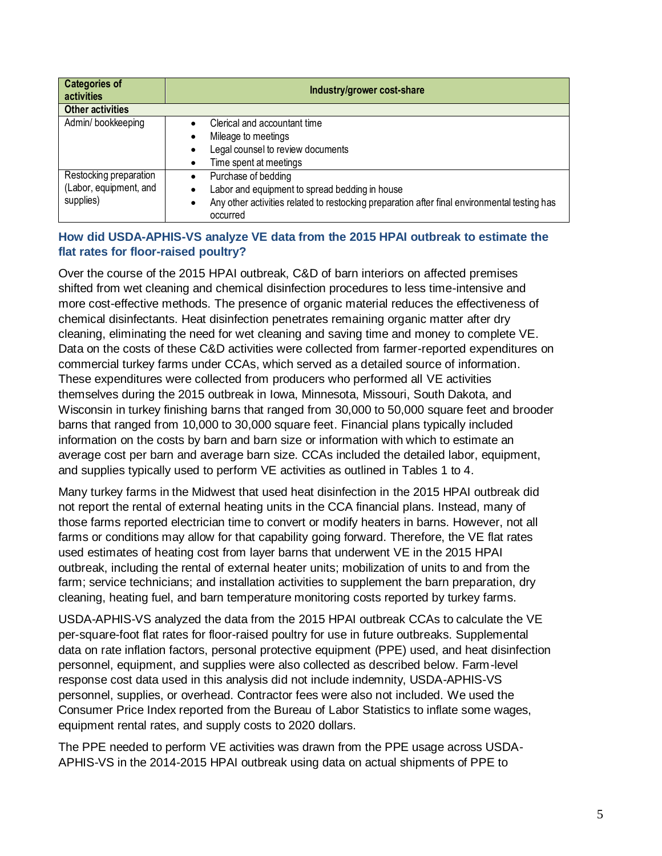| <b>Categories of</b><br><b>activities</b> | Industry/grower cost-share                                                                                            |  |  |
|-------------------------------------------|-----------------------------------------------------------------------------------------------------------------------|--|--|
| <b>Other activities</b>                   |                                                                                                                       |  |  |
| Admin/bookkeeping                         | Clerical and accountant time<br>$\bullet$                                                                             |  |  |
|                                           | Mileage to meetings                                                                                                   |  |  |
|                                           | Legal counsel to review documents<br>$\bullet$                                                                        |  |  |
|                                           | Time spent at meetings<br>$\bullet$                                                                                   |  |  |
| Restocking preparation                    | Purchase of bedding<br>$\bullet$                                                                                      |  |  |
| (Labor, equipment, and                    | Labor and equipment to spread bedding in house<br>$\bullet$                                                           |  |  |
| supplies)                                 | Any other activities related to restocking preparation after final environmental testing has<br>$\bullet$<br>occurred |  |  |

## **How did USDA-APHIS-VS analyze VE data from the 2015 HPAI outbreak to estimate the flat rates for floor-raised poultry?**

Over the course of the 2015 HPAI outbreak, C&D of barn interiors on affected premises shifted from wet cleaning and chemical disinfection procedures to less time-intensive and more cost-effective methods. The presence of organic material reduces the effectiveness of chemical disinfectants. Heat disinfection penetrates remaining organic matter after dry cleaning, eliminating the need for wet cleaning and saving time and money to complete VE. Data on the costs of these C&D activities were collected from farmer-reported expenditures on commercial turkey farms under CCAs, which served as a detailed source of information. These expenditures were collected from producers who performed all VE activities themselves during the 2015 outbreak in Iowa, Minnesota, Missouri, South Dakota, and Wisconsin in turkey finishing barns that ranged from 30,000 to 50,000 square feet and brooder barns that ranged from 10,000 to 30,000 square feet. Financial plans typically included information on the costs by barn and barn size or information with which to estimate an average cost per barn and average barn size. CCAs included the detailed labor, equipment, and supplies typically used to perform VE activities as outlined in Tables 1 to 4.

Many turkey farms in the Midwest that used heat disinfection in the 2015 HPAI outbreak did not report the rental of external heating units in the CCA financial plans. Instead, many of those farms reported electrician time to convert or modify heaters in barns. However, not all farms or conditions may allow for that capability going forward. Therefore, the VE flat rates used estimates of heating cost from layer barns that underwent VE in the 2015 HPAI outbreak, including the rental of external heater units; mobilization of units to and from the farm; service technicians; and installation activities to supplement the barn preparation, dry cleaning, heating fuel, and barn temperature monitoring costs reported by turkey farms.

USDA-APHIS-VS analyzed the data from the 2015 HPAI outbreak CCAs to calculate the VE per-square-foot flat rates for floor-raised poultry for use in future outbreaks. Supplemental data on rate inflation factors, personal protective equipment (PPE) used, and heat disinfection personnel, equipment, and supplies were also collected as described below. Farm-level response cost data used in this analysis did not include indemnity, USDA-APHIS-VS personnel, supplies, or overhead. Contractor fees were also not included. We used the Consumer Price Index reported from the Bureau of Labor Statistics to inflate some wages, equipment rental rates, and supply costs to 2020 dollars.

The PPE needed to perform VE activities was drawn from the PPE usage across USDA-APHIS-VS in the 2014-2015 HPAI outbreak using data on actual shipments of PPE to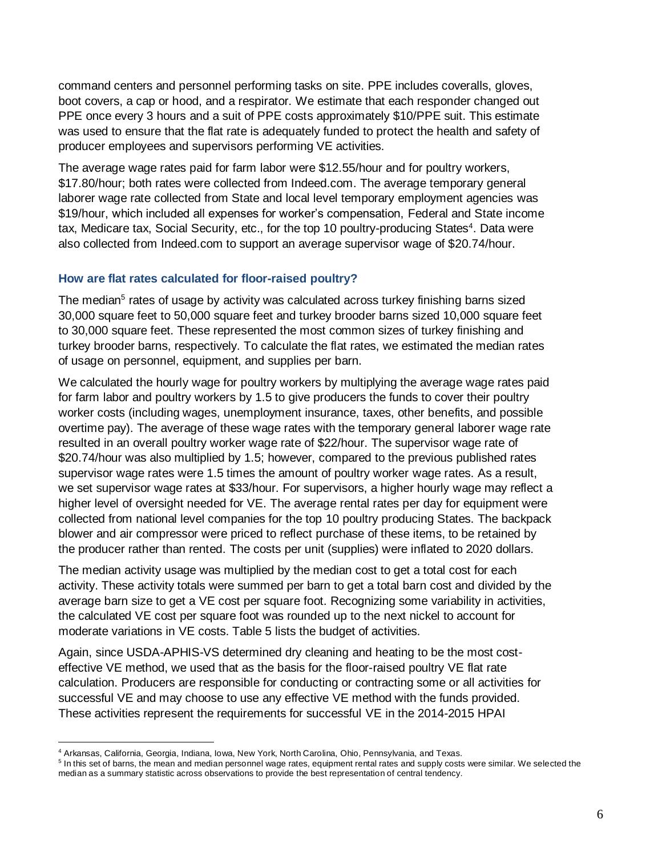command centers and personnel performing tasks on site. PPE includes coveralls, gloves, boot covers, a cap or hood, and a respirator. We estimate that each responder changed out PPE once every 3 hours and a suit of PPE costs approximately \$10/PPE suit. This estimate was used to ensure that the flat rate is adequately funded to protect the health and safety of producer employees and supervisors performing VE activities.

The average wage rates paid for farm labor were \$12.55/hour and for poultry workers, \$17.80/hour; both rates were collected from Indeed.com. The average temporary general laborer wage rate collected from State and local level temporary employment agencies was \$19/hour, which included all expenses for worker's compensation, Federal and State income tax, Medicare tax, Social Security, etc., for the top 10 poultry-producing States<sup>4</sup>. Data were also collected from Indeed.com to support an average supervisor wage of \$20.74/hour.

### **How are flat rates calculated for floor-raised poultry?**

The median<sup>5</sup> rates of usage by activity was calculated across turkey finishing barns sized 30,000 square feet to 50,000 square feet and turkey brooder barns sized 10,000 square feet to 30,000 square feet. These represented the most common sizes of turkey finishing and turkey brooder barns, respectively. To calculate the flat rates, we estimated the median rates of usage on personnel, equipment, and supplies per barn.

We calculated the hourly wage for poultry workers by multiplying the average wage rates paid for farm labor and poultry workers by 1.5 to give producers the funds to cover their poultry worker costs (including wages, unemployment insurance, taxes, other benefits, and possible overtime pay). The average of these wage rates with the temporary general laborer wage rate resulted in an overall poultry worker wage rate of \$22/hour. The supervisor wage rate of \$20.74/hour was also multiplied by 1.5; however, compared to the previous published rates supervisor wage rates were 1.5 times the amount of poultry worker wage rates. As a result, we set supervisor wage rates at \$33/hour. For supervisors, a higher hourly wage may reflect a higher level of oversight needed for VE. The average rental rates per day for equipment were collected from national level companies for the top 10 poultry producing States. The backpack blower and air compressor were priced to reflect purchase of these items, to be retained by the producer rather than rented. The costs per unit (supplies) were inflated to 2020 dollars.

The median activity usage was multiplied by the median cost to get a total cost for each activity. These activity totals were summed per barn to get a total barn cost and divided by the average barn size to get a VE cost per square foot. Recognizing some variability in activities, the calculated VE cost per square foot was rounded up to the next nickel to account for moderate variations in VE costs. Table 5 lists the budget of activities.

Again, since USDA-APHIS-VS determined dry cleaning and heating to be the most costeffective VE method, we used that as the basis for the floor-raised poultry VE flat rate calculation. Producers are responsible for conducting or contracting some or all activities for successful VE and may choose to use any effective VE method with the funds provided. These activities represent the requirements for successful VE in the 2014-2015 HPAI

 $\overline{a}$ 

<sup>4</sup> Arkansas, California, Georgia, Indiana, Iowa, New York, North Carolina, Ohio, Pennsylvania, and Texas.

<sup>&</sup>lt;sup>5</sup> In this set of barns, the mean and median personnel wage rates, equipment rental rates and supply costs were similar. We selected the median as a summary statistic across observations to provide the best representation of central tendency.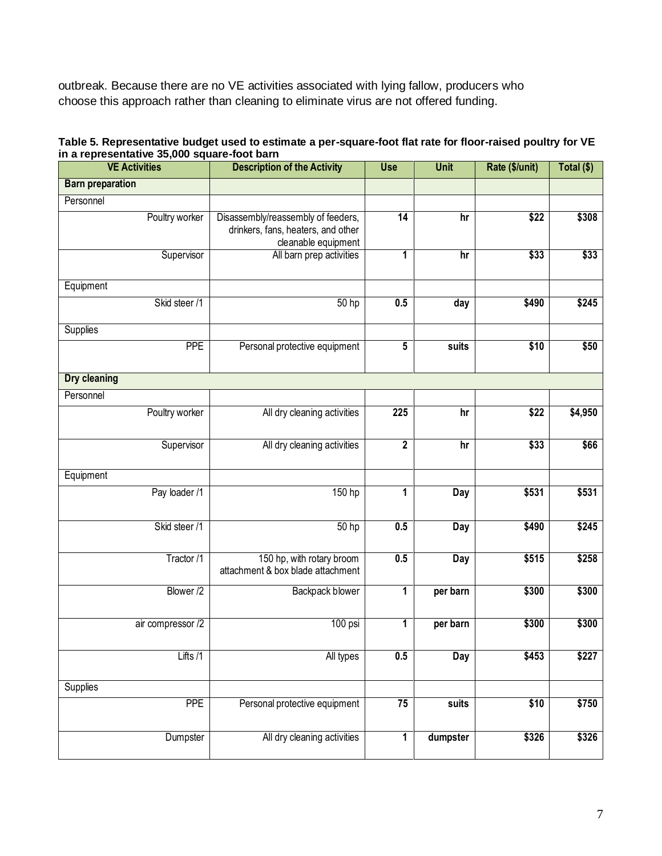outbreak. Because there are no VE activities associated with lying fallow, producers who choose this approach rather than cleaning to eliminate virus are not offered funding.

| Table 5. Representative budget used to estimate a per-square-foot flat rate for floor-raised poultry for VE |  |
|-------------------------------------------------------------------------------------------------------------|--|
| in a representative 35,000 square-foot barn                                                                 |  |

| <b>VE Activities</b>    | <b>Description of the Activity</b>                                                              | <b>Use</b>      | <b>Unit</b> | Rate (\$/unit) | Total (\$) |
|-------------------------|-------------------------------------------------------------------------------------------------|-----------------|-------------|----------------|------------|
| <b>Barn preparation</b> |                                                                                                 |                 |             |                |            |
| Personnel               |                                                                                                 |                 |             |                |            |
| Poultry worker          | Disassembly/reassembly of feeders,<br>drinkers, fans, heaters, and other<br>cleanable equipment | $\overline{14}$ | hr          | \$22           | \$308      |
| Supervisor              | All barn prep activities                                                                        | 1               | hr          | \$33           | \$33       |
| Equipment               |                                                                                                 |                 |             |                |            |
| Skid steer /1           | 50 hp                                                                                           | 0.5             | day         | \$490          | \$245      |
| Supplies                |                                                                                                 |                 |             |                |            |
| <b>PPE</b>              | Personal protective equipment                                                                   | 5               | suits       | \$10           | \$50       |
| <b>Dry cleaning</b>     |                                                                                                 |                 |             |                |            |
| Personnel               |                                                                                                 |                 |             |                |            |
| Poultry worker          | All dry cleaning activities                                                                     | 225             | hr          | \$22           | \$4,950    |
| Supervisor              | All dry cleaning activities                                                                     | $\mathbf 2$     | hr          | \$33           | \$66       |
| Equipment               |                                                                                                 |                 |             |                |            |
| Pay loader /1           | 150 hp                                                                                          | 1               | Day         | \$531          | \$531      |
| Skid steer /1           | $\overline{50}$ hp                                                                              | 0.5             | Day         | \$490          | \$245      |
| Tractor /1              | 150 hp, with rotary broom<br>attachment & box blade attachment                                  | 0.5             | Day         | \$515          | \$258      |
| Blower /2               | Backpack blower                                                                                 | 1               | per barn    | \$300          | \$300      |
| air compressor /2       | $100$ psi                                                                                       | 1               | per barn    | \$300          | \$300      |
| Lifts /1                | All types                                                                                       | 0.5             | <b>Day</b>  | \$453          | \$227      |
| Supplies                |                                                                                                 |                 |             |                |            |
| <b>PPE</b>              | Personal protective equipment                                                                   | $\overline{75}$ | suits       | \$10           | \$750      |
| Dumpster                | All dry cleaning activities                                                                     | 1               | dumpster    | \$326          | \$326      |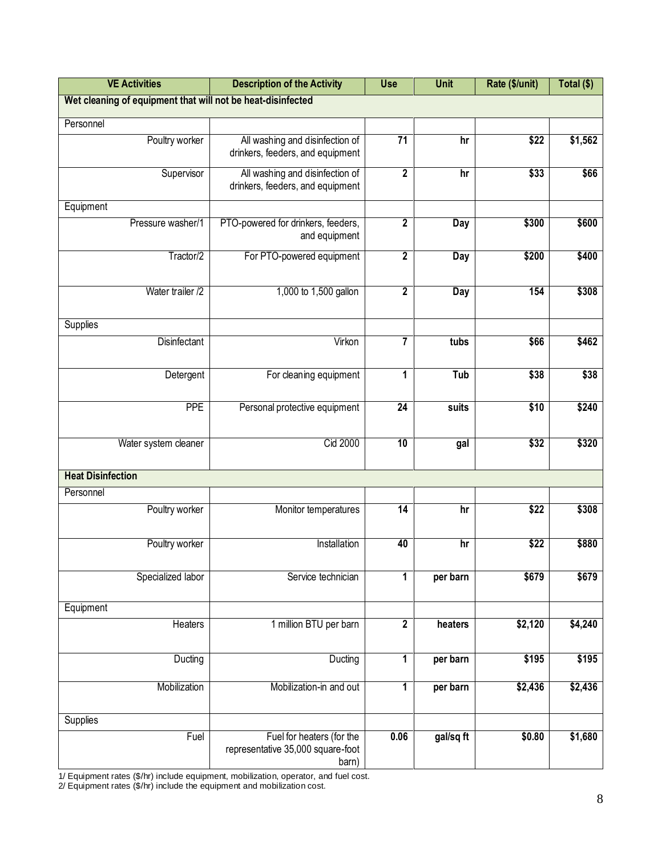| <b>VE Activities</b>                                        | <b>Description of the Activity</b>                                      | <b>Use</b>              | <b>Unit</b> | Rate (\$/unit) | Total (\$) |
|-------------------------------------------------------------|-------------------------------------------------------------------------|-------------------------|-------------|----------------|------------|
| Wet cleaning of equipment that will not be heat-disinfected |                                                                         |                         |             |                |            |
| Personnel                                                   |                                                                         |                         |             |                |            |
| Poultry worker                                              | All washing and disinfection of<br>drinkers, feeders, and equipment     | $\overline{71}$         | hr          | \$22           | \$1,562    |
| Supervisor                                                  | All washing and disinfection of<br>drinkers, feeders, and equipment     | $\overline{\mathbf{2}}$ | hr          | \$33           | \$66       |
| Equipment                                                   |                                                                         |                         |             |                |            |
| Pressure washer/1                                           | PTO-powered for drinkers, feeders,<br>and equipment                     | $\overline{\mathbf{2}}$ | Day         | \$300          | \$600      |
| Tractor/2                                                   | For PTO-powered equipment                                               | $\mathbf{2}$            | Day         | \$200          | \$400      |
| Water trailer /2                                            | 1,000 to 1,500 gallon                                                   | $\mathbf{2}$            | Day         | 154            | \$308      |
| Supplies                                                    |                                                                         |                         |             |                |            |
| <b>Disinfectant</b>                                         | Virkon                                                                  | $\overline{\mathbf{r}}$ | tubs        | \$66           | \$462      |
| Detergent                                                   | For cleaning equipment                                                  | 1                       | Tub         | \$38           | \$38       |
| <b>PPE</b>                                                  | Personal protective equipment                                           | $\overline{24}$         | suits       | \$10           | \$240      |
| Water system cleaner                                        | Cid 2000                                                                | 10                      | gal         | \$32           | \$320      |
| <b>Heat Disinfection</b>                                    |                                                                         |                         |             |                |            |
| Personnel                                                   |                                                                         |                         |             |                |            |
| Poultry worker                                              | Monitor temperatures                                                    | $\overline{14}$         | hr          | \$22           | \$308      |
| Poultry worker                                              | Installation                                                            | 40                      | hr          | \$22           | \$880      |
| Specialized labor                                           | Service technician                                                      | 1                       | per barn    | \$679          | \$679      |
| Equipment                                                   |                                                                         |                         |             |                |            |
| Heaters                                                     | 1 million BTU per barn                                                  | $\mathbf 2$             | heaters     | \$2,120        | \$4,240    |
| Ducting                                                     | Ducting                                                                 | 1                       | per barn    | \$195          | \$195      |
| Mobilization                                                | Mobilization-in and out                                                 | 1                       | per barn    | \$2,436        | \$2,436    |
| <b>Supplies</b>                                             |                                                                         |                         |             |                |            |
| Fuel                                                        | Fuel for heaters (for the<br>representative 35,000 square-foot<br>barn) | 0.06                    | gal/sq ft   | \$0.80         | \$1,680    |

1/ Equipment rates (\$/hr) include equipment, mobilization, operator, and fuel cost.

2/ Equipment rates (\$/hr) include the equipment and mobilization cost.